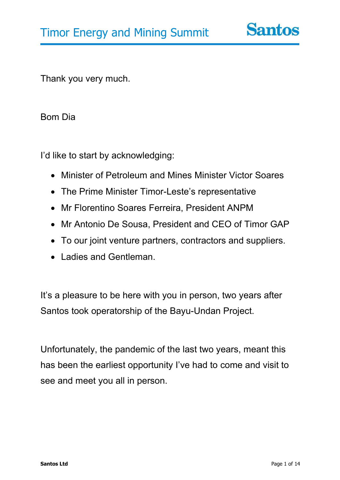Thank you very much.

Bom Dia

I'd like to start by acknowledging:

- Minister of Petroleum and Mines Minister Victor Soares
- The Prime Minister Timor-Leste's representative
- Mr Florentino Soares Ferreira, President ANPM
- Mr Antonio De Sousa, President and CEO of Timor GAP
- To our joint venture partners, contractors and suppliers.
- Ladies and Gentleman.

It's a pleasure to be here with you in person, two years after Santos took operatorship of the Bayu-Undan Project.

Unfortunately, the pandemic of the last two years, meant this has been the earliest opportunity I've had to come and visit to see and meet you all in person.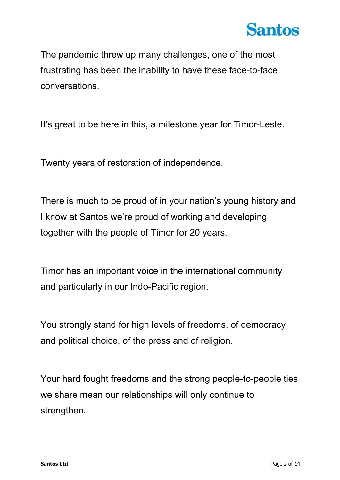

The pandemic threw up many challenges, one of the most frustrating has been the inability to have these face-to-face conversations.

It's great to be here in this, a milestone year for Timor-Leste.

Twenty years of restoration of independence.

There is much to be proud of in your nation's young history and I know at Santos we're proud of working and developing together with the people of Timor for 20 years.

Timor has an important voice in the international community and particularly in our Indo-Pacific region.

You strongly stand for high levels of freedoms, of democracy and political choice, of the press and of religion.

Your hard fought freedoms and the strong people-to-people ties we share mean our relationships will only continue to strengthen.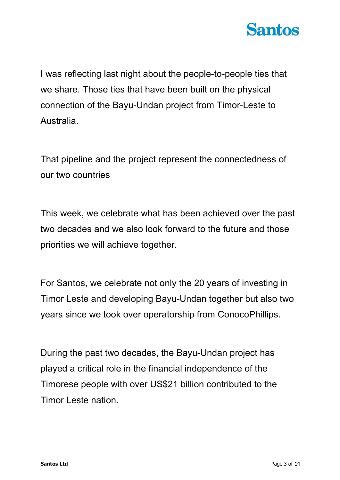

I was reflecting last night about the people-to-people ties that we share. Those ties that have been built on the physical connection of the Bayu-Undan project from Timor-Leste to Australia.

That pipeline and the project represent the connectedness of our two countries

This week, we celebrate what has been achieved over the past two decades and we also look forward to the future and those priorities we will achieve together.

For Santos, we celebrate not only the 20 years of investing in Timor Leste and developing Bayu-Undan together but also two years since we took over operatorship from ConocoPhillips.

During the past two decades, the Bayu-Undan project has played a critical role in the financial independence of the Timorese people with over US\$21 billion contributed to the Timor Leste nation.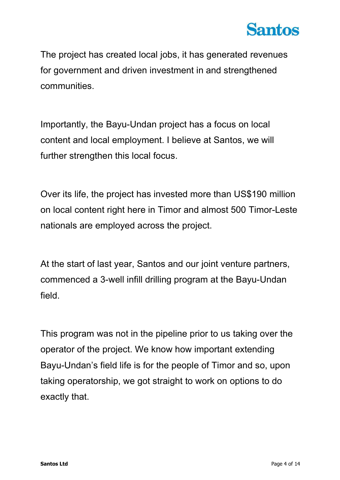

The project has created local jobs, it has generated revenues for government and driven investment in and strengthened communities.

Importantly, the Bayu-Undan project has a focus on local content and local employment. I believe at Santos, we will further strengthen this local focus.

Over its life, the project has invested more than US\$190 million on local content right here in Timor and almost 500 Timor-Leste nationals are employed across the project.

At the start of last year, Santos and our joint venture partners, commenced a 3-well infill drilling program at the Bayu-Undan field.

This program was not in the pipeline prior to us taking over the operator of the project. We know how important extending Bayu-Undan's field life is for the people of Timor and so, upon taking operatorship, we got straight to work on options to do exactly that.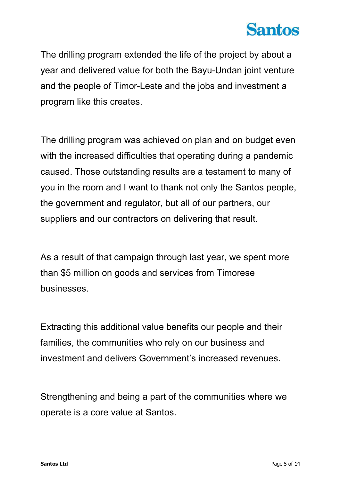

The drilling program extended the life of the project by about a year and delivered value for both the Bayu-Undan joint venture and the people of Timor-Leste and the jobs and investment a program like this creates.

The drilling program was achieved on plan and on budget even with the increased difficulties that operating during a pandemic caused. Those outstanding results are a testament to many of you in the room and I want to thank not only the Santos people, the government and regulator, but all of our partners, our suppliers and our contractors on delivering that result.

As a result of that campaign through last year, we spent more than \$5 million on goods and services from Timorese businesses.

Extracting this additional value benefits our people and their families, the communities who rely on our business and investment and delivers Government's increased revenues.

Strengthening and being a part of the communities where we operate is a core value at Santos.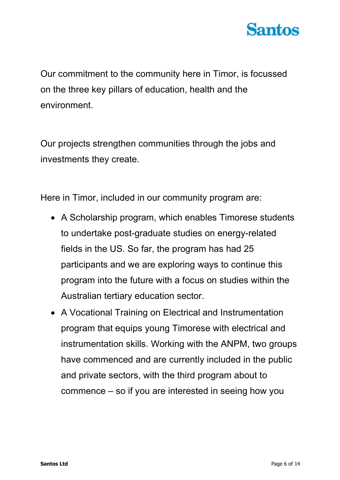

Our commitment to the community here in Timor, is focussed on the three key pillars of education, health and the environment.

Our projects strengthen communities through the jobs and investments they create.

Here in Timor, included in our community program are:

- A Scholarship program, which enables Timorese students to undertake post-graduate studies on energy-related fields in the US. So far, the program has had 25 participants and we are exploring ways to continue this program into the future with a focus on studies within the Australian tertiary education sector.
- A Vocational Training on Electrical and Instrumentation program that equips young Timorese with electrical and instrumentation skills. Working with the ANPM, two groups have commenced and are currently included in the public and private sectors, with the third program about to commence – so if you are interested in seeing how you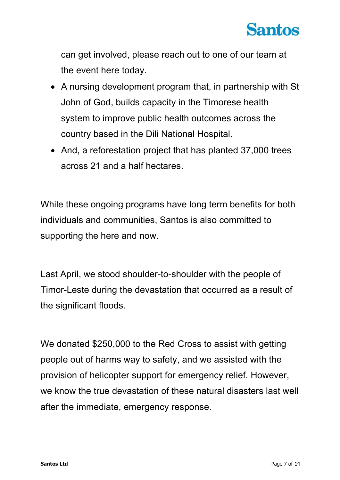

can get involved, please reach out to one of our team at the event here today.

- A nursing development program that, in partnership with St John of God, builds capacity in the Timorese health system to improve public health outcomes across the country based in the Dili National Hospital.
- And, a reforestation project that has planted 37,000 trees across 21 and a half hectares.

While these ongoing programs have long term benefits for both individuals and communities, Santos is also committed to supporting the here and now.

Last April, we stood shoulder-to-shoulder with the people of Timor-Leste during the devastation that occurred as a result of the significant floods.

We donated \$250,000 to the Red Cross to assist with getting people out of harms way to safety, and we assisted with the provision of helicopter support for emergency relief. However, we know the true devastation of these natural disasters last well after the immediate, emergency response.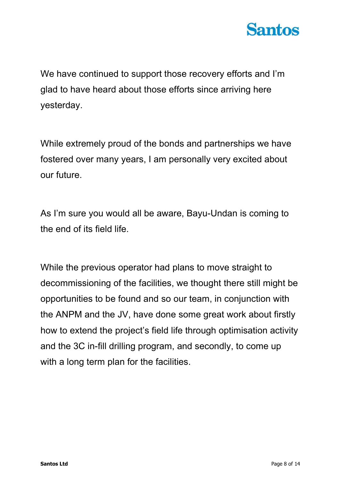

We have continued to support those recovery efforts and I'm glad to have heard about those efforts since arriving here yesterday.

While extremely proud of the bonds and partnerships we have fostered over many years, I am personally very excited about our future.

As I'm sure you would all be aware, Bayu-Undan is coming to the end of its field life.

While the previous operator had plans to move straight to decommissioning of the facilities, we thought there still might be opportunities to be found and so our team, in conjunction with the ANPM and the JV, have done some great work about firstly how to extend the project's field life through optimisation activity and the 3C in-fill drilling program, and secondly, to come up with a long term plan for the facilities.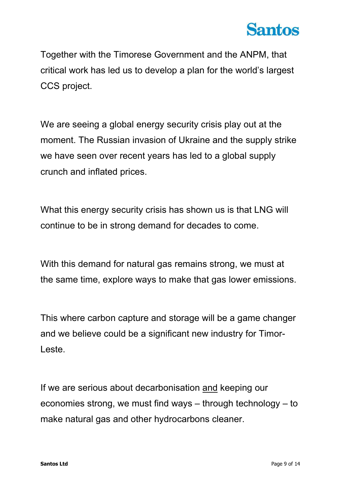## **Santos**

Together with the Timorese Government and the ANPM, that critical work has led us to develop a plan for the world's largest CCS project.

We are seeing a global energy security crisis play out at the moment. The Russian invasion of Ukraine and the supply strike we have seen over recent years has led to a global supply crunch and inflated prices.

What this energy security crisis has shown us is that LNG will continue to be in strong demand for decades to come.

With this demand for natural gas remains strong, we must at the same time, explore ways to make that gas lower emissions.

This where carbon capture and storage will be a game changer and we believe could be a significant new industry for Timor-Leste.

If we are serious about decarbonisation and keeping our economies strong, we must find ways – through technology – to make natural gas and other hydrocarbons cleaner.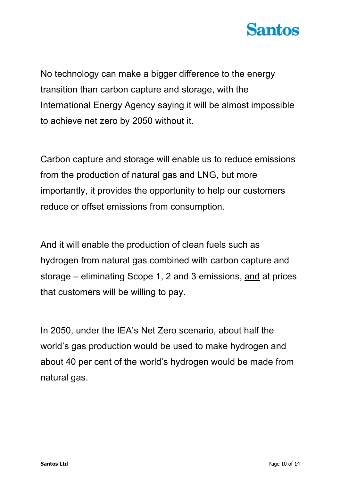

No technology can make a bigger difference to the energy transition than carbon capture and storage, with the International Energy Agency saying it will be almost impossible to achieve net zero by 2050 without it.

Carbon capture and storage will enable us to reduce emissions from the production of natural gas and LNG, but more importantly, it provides the opportunity to help our customers reduce or offset emissions from consumption.

And it will enable the production of clean fuels such as hydrogen from natural gas combined with carbon capture and storage – eliminating Scope 1, 2 and 3 emissions, and at prices that customers will be willing to pay.

In 2050, under the IEA's Net Zero scenario, about half the world's gas production would be used to make hydrogen and about 40 per cent of the world's hydrogen would be made from natural gas.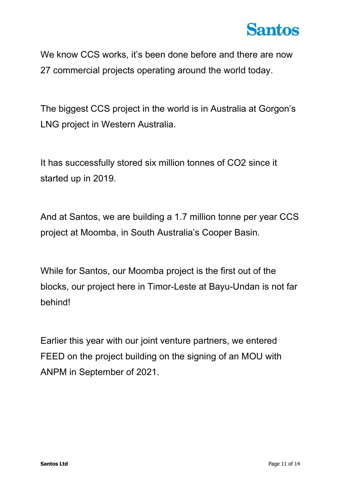

We know CCS works, it's been done before and there are now 27 commercial projects operating around the world today.

The biggest CCS project in the world is in Australia at Gorgon's LNG project in Western Australia.

It has successfully stored six million tonnes of CO2 since it started up in 2019.

And at Santos, we are building a 1.7 million tonne per year CCS project at Moomba, in South Australia's Cooper Basin.

While for Santos, our Moomba project is the first out of the blocks, our project here in Timor-Leste at Bayu-Undan is not far behind!

Earlier this year with our joint venture partners, we entered FEED on the project building on the signing of an MOU with ANPM in September of 2021.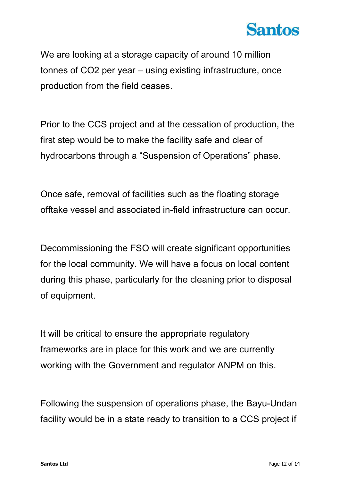

We are looking at a storage capacity of around 10 million tonnes of CO2 per year – using existing infrastructure, once production from the field ceases.

Prior to the CCS project and at the cessation of production, the first step would be to make the facility safe and clear of hydrocarbons through a "Suspension of Operations" phase.

Once safe, removal of facilities such as the floating storage offtake vessel and associated in-field infrastructure can occur.

Decommissioning the FSO will create significant opportunities for the local community. We will have a focus on local content during this phase, particularly for the cleaning prior to disposal of equipment.

It will be critical to ensure the appropriate regulatory frameworks are in place for this work and we are currently working with the Government and regulator ANPM on this.

Following the suspension of operations phase, the Bayu-Undan facility would be in a state ready to transition to a CCS project if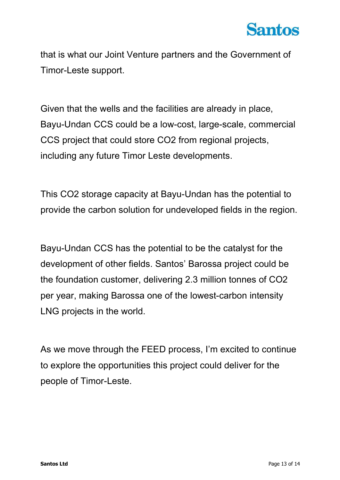

that is what our Joint Venture partners and the Government of Timor-Leste support.

Given that the wells and the facilities are already in place, Bayu-Undan CCS could be a low-cost, large-scale, commercial CCS project that could store CO2 from regional projects, including any future Timor Leste developments.

This CO2 storage capacity at Bayu-Undan has the potential to provide the carbon solution for undeveloped fields in the region.

Bayu-Undan CCS has the potential to be the catalyst for the development of other fields. Santos' Barossa project could be the foundation customer, delivering 2.3 million tonnes of CO2 per year, making Barossa one of the lowest-carbon intensity LNG projects in the world.

As we move through the FEED process, I'm excited to continue to explore the opportunities this project could deliver for the people of Timor-Leste.